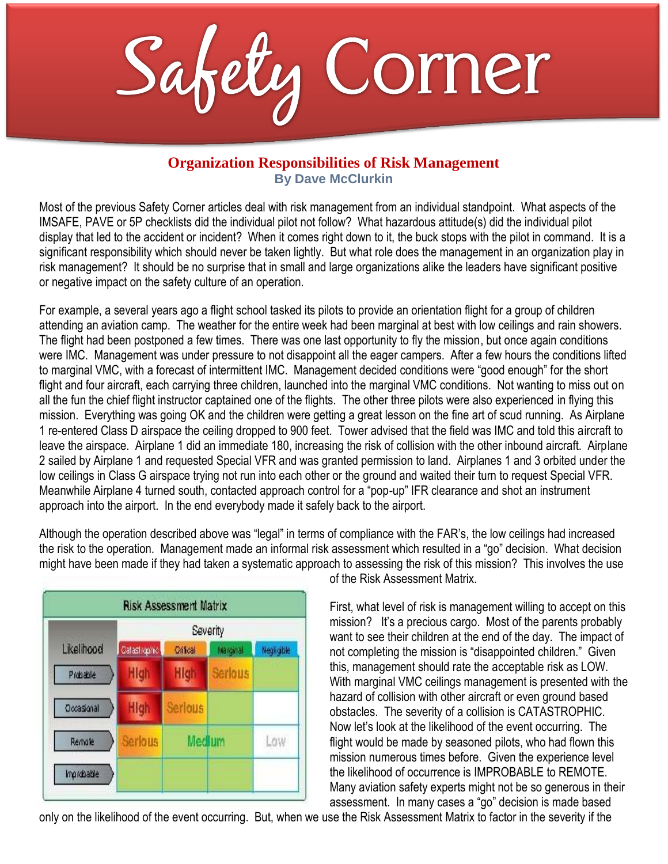Safety Corner

## **Organization Responsibilities of Risk Management By Dave McClurkin**

Most of the previous Safety Corner articles deal with risk management from an individual standpoint. What aspects of the IMSAFE, PAVE or 5P checklists did the individual pilot not follow? What hazardous attitude(s) did the individual pilot display that led to the accident or incident? When it comes right down to it, the buck stops with the pilot in command. It is a significant responsibility which should never be taken lightly. But what role does the management in an organization play in risk management? It should be no surprise that in small and large organizations alike the leaders have significant positive or negative impact on the safety culture of an operation.

For example, a several years ago a flight school tasked its pilots to provide an orientation flight for a group of children attending an aviation camp. The weather for the entire week had been marginal at best with low ceilings and rain showers. The flight had been postponed a few times. There was one last opportunity to fly the mission, but once again conditions were IMC. Management was under pressure to not disappoint all the eager campers. After a few hours the conditions lifted to marginal VMC, with a forecast of intermittent IMC. Management decided conditions were "good enough" for the short flight and four aircraft, each carrying three children, launched into the marginal VMC conditions. Not wanting to miss out on all the fun the chief flight instructor captained one of the flights. The other three pilots were also experienced in flying this mission. Everything was going OK and the children were getting a great lesson on the fine art of scud running. As Airplane 1 re-entered Class D airspace the ceiling dropped to 900 feet. Tower advised that the field was IMC and told this aircraft to leave the airspace. Airplane 1 did an immediate 180, increasing the risk of collision with the other inbound aircraft. Airplane 2 sailed by Airplane 1 and requested Special VFR and was granted permission to land. Airplanes 1 and 3 orbited under the low ceilings in Class G airspace trying not run into each other or the ground and waited their turn to request Special VFR. Meanwhile Airplane 4 turned south, contacted approach control for a "pop-up" IFR clearance and shot an instrument approach into the airport. In the end everybody made it safely back to the airport.

Although the operation described above was "legal" in terms of compliance with the FAR's, the low ceilings had increased the risk to the operation. Management made an informal risk assessment which resulted in a "go" decision. What decision might have been made if they had taken a systematic approach to assessing the risk of this mission? This involves the use



of the Risk Assessment Matrix.

First, what level of risk is management willing to accept on this mission? It's a precious cargo. Most of the parents probably want to see their children at the end of the day. The impact of not completing the mission is "disappointed children." Given this, management should rate the acceptable risk as LOW. With marginal VMC ceilings management is presented with the hazard of collision with other aircraft or even ground based obstacles. The severity of a collision is CATASTROPHIC. Now let's look at the likelihood of the event occurring. The flight would be made by seasoned pilots, who had flown this mission numerous times before. Given the experience level the likelihood of occurrence is IMPROBABLE to REMOTE. Many aviation safety experts might not be so generous in their assessment. In many cases a "go" decision is made based

only on the likelihood of the event occurring. But, when we use the Risk Assessment Matrix to factor in the severity if the